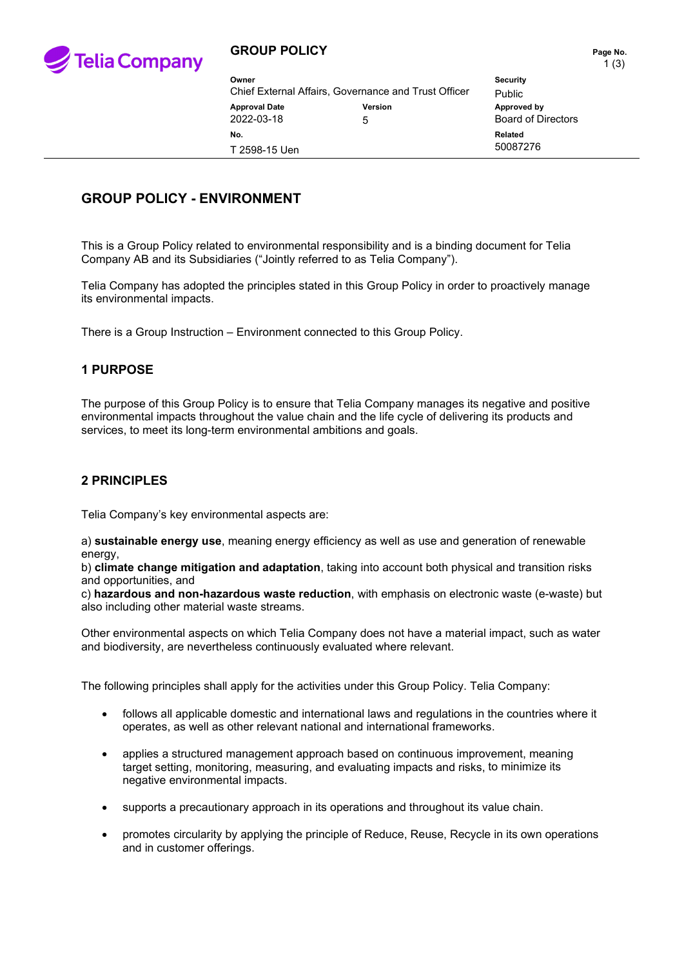

### **GROUP POLICY PAGE 10. Page No. Page No.**

| Owner                                                |         | <b>Security</b>           |
|------------------------------------------------------|---------|---------------------------|
| Chief External Affairs, Governance and Trust Officer |         | Public                    |
| <b>Approval Date</b>                                 | Version | Approved by               |
| 2022-03-18                                           | 5       | <b>Board of Directors</b> |
| No.                                                  |         | Related                   |
| T 2598-15 Uen                                        |         | 50087276                  |

# **GROUP POLICY - ENVIRONMENT**

This is a Group Policy related to environmental responsibility and is a binding document for Telia Company AB and its Subsidiaries ("Jointly referred to as Telia Company").

Telia Company has adopted the principles stated in this Group Policy in order to proactively manage its environmental impacts.

There is a Group Instruction – Environment connected to this Group Policy.

#### **1 PURPOSE**

The purpose of this Group Policy is to ensure that Telia Company manages its negative and positive environmental impacts throughout the value chain and the life cycle of delivering its products and services, to meet its long-term environmental ambitions and goals.

#### **2 PRINCIPLES**

Telia Company's key environmental aspects are:

a) **sustainable energy use**, meaning energy efficiency as well as use and generation of renewable energy,

b) **climate change mitigation and adaptation**, taking into account both physical and transition risks and opportunities, and

c) **hazardous and non-hazardous waste reduction**, with emphasis on electronic waste (e-waste) but also including other material waste streams.

Other environmental aspects on which Telia Company does not have a material impact, such as water and biodiversity, are nevertheless continuously evaluated where relevant.

The following principles shall apply for the activities under this Group Policy. Telia Company:

- follows all applicable domestic and international laws and regulations in the countries where it operates, as well as other relevant national and international frameworks.
- applies a structured management approach based on continuous improvement, meaning target setting, monitoring, measuring, and evaluating impacts and risks, to minimize its negative environmental impacts.
- supports a precautionary approach in its operations and throughout its value chain.
- promotes circularity by applying the principle of Reduce, Reuse, Recycle in its own operations and in customer offerings.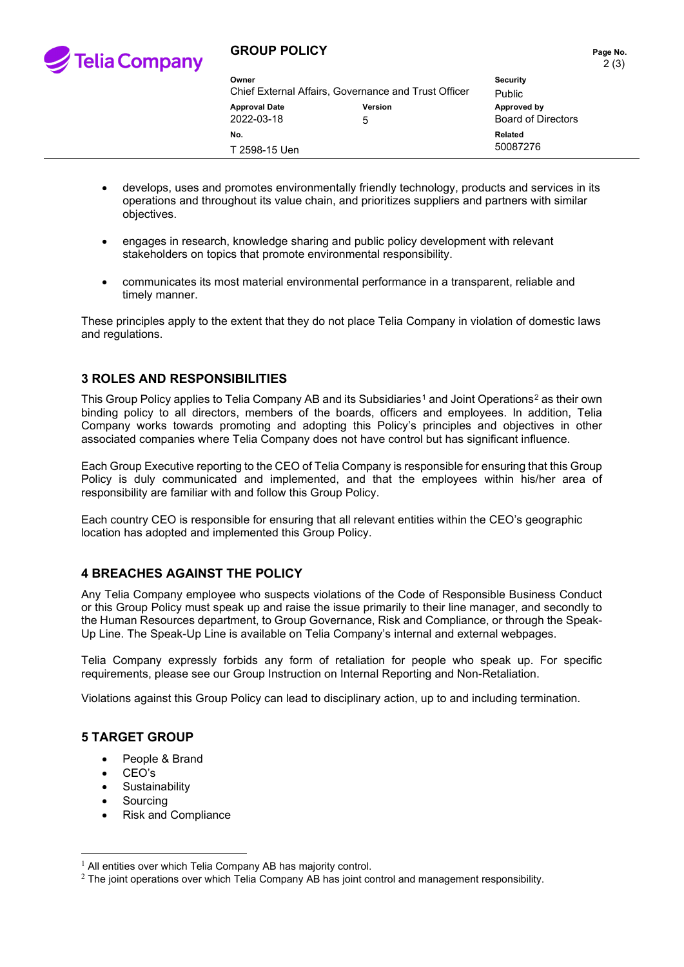

### **GROUP POLICY PAGE 10. Page No. Page No.**

| Owner                                                |         | <b>Security</b>           |
|------------------------------------------------------|---------|---------------------------|
| Chief External Affairs, Governance and Trust Officer |         | <b>Public</b>             |
| <b>Approval Date</b>                                 | Version | Approved by               |
| 2022-03-18                                           | 5       | <b>Board of Directors</b> |
| No.<br>T 2598-15 Uen                                 |         | Related<br>50087276       |

- develops, uses and promotes environmentally friendly technology, products and services in its operations and throughout its value chain, and prioritizes suppliers and partners with similar objectives.
- engages in research, knowledge sharing and public policy development with relevant stakeholders on topics that promote environmental responsibility.
- communicates its most material environmental performance in a transparent, reliable and timely manner.

These principles apply to the extent that they do not place Telia Company in violation of domestic laws and regulations.

## **3 ROLES AND RESPONSIBILITIES**

This Group Policy applies to Telia Company AB and its Subsidiaries<sup>[1](#page-1-0)</sup> and Joint Operations<sup>[2](#page-1-1)</sup> as their own binding policy to all directors, members of the boards, officers and employees. In addition, Telia Company works towards promoting and adopting this Policy's principles and objectives in other associated companies where Telia Company does not have control but has significant influence.

Each Group Executive reporting to the CEO of Telia Company is responsible for ensuring that this Group Policy is duly communicated and implemented, and that the employees within his/her area of responsibility are familiar with and follow this Group Policy.

Each country CEO is responsible for ensuring that all relevant entities within the CEO's geographic location has adopted and implemented this Group Policy.

### **4 BREACHES AGAINST THE POLICY**

Any Telia Company employee who suspects violations of the Code of Responsible Business Conduct or this Group Policy must speak up and raise the issue primarily to their line manager, and secondly to the Human Resources department, to Group Governance, Risk and Compliance, or through the Speak-Up Line. The Speak-Up Line is available on Telia Company's internal and external webpages.

Telia Company expressly forbids any form of retaliation for people who speak up. For specific requirements, please see our Group Instruction on Internal Reporting and Non-Retaliation.

Violations against this Group Policy can lead to disciplinary action, up to and including termination.

### **5 TARGET GROUP**

- People & Brand
- CEO's
- **Sustainability**
- **Sourcing**
- Risk and Compliance

<span id="page-1-0"></span> $1$  All entities over which Telia Company AB has majority control.

<span id="page-1-1"></span> $2$  The joint operations over which Telia Company AB has joint control and management responsibility.